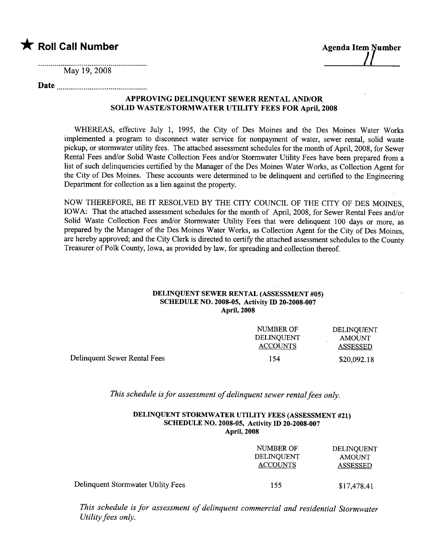# **\*** Roll Call Number Agenda Item Number

 $\sqrt{ }$ 

May 19, 2008

## Date

### APPROVING DELINQUENT SEWER RENTAL AND/OR SOLID WASTE/STORMWATER UTILITY FEES FOR April, 2008

WHEREAS, effective July 1, 1995, the City of Des Moines and the Des Moines Water Works implemented a program to disconnect water service for nonpayment of water, sewer rental, solid waste pickup, or stormwater utilty fees. The attached assessment schedules for the month of April, 2008, for Sewer Rental Fees and/or Solid Waste Collection Fees and/or Stormwater Utility Fees have been prepared from a list of such delinquencies certified by the Manager of the Des Moines Water Works, as Collection Agent for the City of Des Moines. These accounts were determned to be delinquent and certified to the Engineering Department for collection as a lien against the property.

NOW THEREFORE, BE IT RESOLVED BY THE CITY COUNCIL OF THE CITY OF DES MOINES, IOWA: That the attached assessment schedules for the month of April, 2008, for Sewer Rental Fees and/or Solid Waste Collection Fees and/or Stormwater Utility Fees that were delinquent 100 days or more, as prepared by the Manager of the Des Moines Water Works, as Collection Agent for the City of Des Moines, are hereby approved; and the City Clerk is directed to certify the attached assessment schedules to the County Treasurer of Polk County, Iowa, as provided by law, for spreading and collection thereof.

#### DELINQUENT SEWER RENTAL (ASSESSMENT #05) SCHEDULE NO. 2008-05, Activity ID 20-2008-007 April, 2008

|                              | NUMBER OF<br>DELINQUENT<br><b>ACCOUNTS</b> | DELINOUENT<br><b>AMOUNT</b><br>ASSESSED |
|------------------------------|--------------------------------------------|-----------------------------------------|
| Delinquent Sewer Rental Fees | 154                                        | \$20,092.18                             |

This schedule is for assessment of delinquent sewer rental fees only.

#### DELINQUENT STORMWATER UTILITY FEES (ASSESSMENT #21) SCHEDULE NO. 2008-05, Activity ID 20-2008-007 April, 2008

|                                    | NUMBER OF<br>DELINQUENT<br><b>ACCOUNTS</b> | DELINQUENT<br><b>AMOUNT</b><br>ASSESSED |
|------------------------------------|--------------------------------------------|-----------------------------------------|
| Delinquent Stormwater Utility Fees | 155                                        | \$17,478.41                             |

This schedule is for assessment of delinquent commercial and residential Stormwater Utility fees only.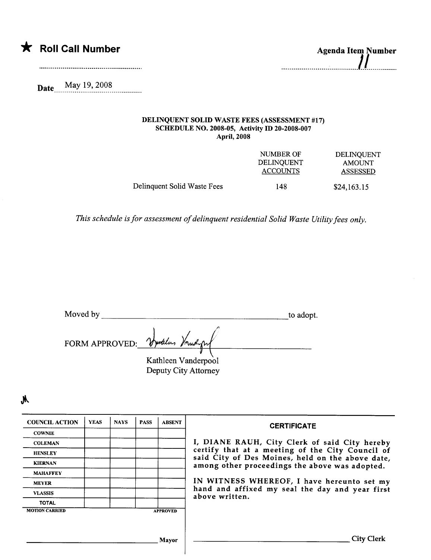| $\blacktriangledown$ | <b>Roll Call Number</b> | <b>Agenda Item Number</b> |
|----------------------|-------------------------|---------------------------|
|                      |                         |                           |

| <b>Agenda Item Number</b> |  |  |  |
|---------------------------|--|--|--|
|                           |  |  |  |
|                           |  |  |  |

Date May 19, 2008 . . . . . . . . . . . .

#### DELINQUENT SOLID WASTE FEES (ASSESSMENT #17) SCHEDULE NO. 2008-05, Activity ID 20-2008-007 April, 2008

|                             | NUMBER OF       | <b>DELINOUENT</b> |
|-----------------------------|-----------------|-------------------|
|                             | DELINOUENT      | <b>AMOUNT</b>     |
|                             | <b>ACCOUNTS</b> | <b>ASSESSED</b>   |
| Delinquent Solid Waste Fees | 148             | \$24,163.15       |

This schedule is for assessment of delinquent residential Solid Waste Utility fees only.

| Moved by | to adopt. |
|----------|-----------|

FORM APPROVED: Vyudlas Vorud

Kathleen Vanderpool Deputy City Attorney

| <b>COUNCIL ACTION</b> | <b>YEAS</b> | <b>NAYS</b> | <b>PASS</b> | <b>ABSENT</b>   | <b>CERTIFICATE</b>                                                                                 |
|-----------------------|-------------|-------------|-------------|-----------------|----------------------------------------------------------------------------------------------------|
| <b>COWNIE</b>         |             |             |             |                 |                                                                                                    |
| <b>COLEMAN</b>        |             |             |             |                 | I, DIANE RAUH, City Clerk of said City hereby                                                      |
| <b>HENSLEY</b>        |             |             |             |                 | certify that at a meeting of the City Council of                                                   |
| <b>KIERNAN</b>        |             |             |             |                 | said City of Des Moines, held on the above date,<br>among other proceedings the above was adopted. |
| <b>MAHAFFEY</b>       |             |             |             |                 |                                                                                                    |
| <b>MEYER</b>          |             |             |             |                 | IN WITNESS WHEREOF, I have hereunto set my                                                         |
| <b>VLASSIS</b>        |             |             |             |                 | hand and affixed my seal the day and year first<br>above written.                                  |
| <b>TOTAL</b>          |             |             |             |                 |                                                                                                    |
| <b>MOTION CARRIED</b> |             |             |             | <b>APPROVED</b> |                                                                                                    |
|                       |             |             |             |                 |                                                                                                    |
|                       |             |             |             |                 |                                                                                                    |
|                       |             |             |             | Mayor           | <b>City Clerk</b>                                                                                  |